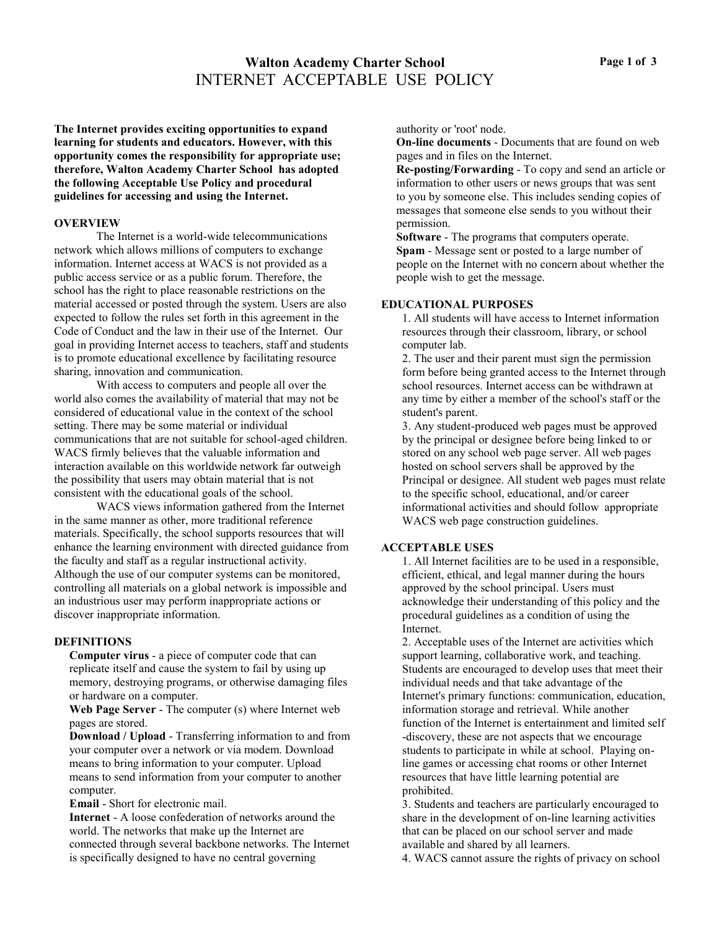# **Walton Academy Charter School** INTERNET ACCEPTABLE USE POLICY

**The Internet provides exciting opportunities to expand learning for students and educators. However, with this opportunity comes the responsibility for appropriate use; therefore, Walton Academy Charter School has adopted the following Acceptable Use Policy and procedural guidelines for accessing and using the Internet.**

#### **OVERVIEW**

The Internet is a world-wide telecommunications network which allows millions of computers to exchange information. Internet access at WACS is not provided as a public access service or as a public forum. Therefore, the school has the right to place reasonable restrictions on the material accessed or posted through the system. Users are also expected to follow the rules set forth in this agreement in the Code of Conduct and the law in their use of the Internet. Our goal in providing Internet access to teachers, staff and students is to promote educational excellence by facilitating resource sharing, innovation and communication.

With access to computers and people all over the world also comes the availability of material that may not be considered of educational value in the context of the school setting. There may be some material or individual communications that are not suitable for school-aged children. WACS firmly believes that the valuable information and interaction available on this worldwide network far outweigh the possibility that users may obtain material that is not consistent with the educational goals of the school.

WACS views information gathered from the Internet in the same manner as other, more traditional reference materials. Specifically, the school supports resources that will enhance the learning environment with directed guidance from the faculty and staff as a regular instructional activity. Although the use of our computer systems can be monitored, controlling all materials on a global network is impossible and an industrious user may perform inappropriate actions or discover inappropriate information.

#### **DEFINITIONS**

**Computer virus** - a piece of computer code that can replicate itself and cause the system to fail by using up memory, destroying programs, or otherwise damaging files or hardware on a computer.

**Web Page Server** - The computer (s) where Internet web pages are stored.

**Download / Upload** - Transferring information to and from your computer over a network or via modem. Download means to bring information to your computer. Upload means to send information from your computer to another computer.

**Email** - Short for electronic mail.

**Internet** - A loose confederation of networks around the world. The networks that make up the Internet are connected through several backbone networks. The Internet is specifically designed to have no central governing

authority or 'root' node.

**On-line documents** - Documents that are found on web pages and in files on the Internet.

**Re-posting/Forwarding** - To copy and send an article or information to other users or news groups that was sent to you by someone else. This includes sending copies of messages that someone else sends to you without their permission.

**Software** - The programs that computers operate. **Spam** - Message sent or posted to a large number of people on the Internet with no concern about whether the people wish to get the message.

## **EDUCATIONAL PURPOSES**

1. All students will have access to Internet information resources through their classroom, library, or school computer lab.

2. The user and their parent must sign the permission form before being granted access to the Internet through school resources. Internet access can be withdrawn at any time by either a member of the school's staff or the student's parent.

3. Any student-produced web pages must be approved by the principal or designee before being linked to or stored on any school web page server. All web pages hosted on school servers shall be approved by the Principal or designee. All student web pages must relate to the specific school, educational, and/or career informational activities and should follow appropriate WACS web page construction guidelines.

#### **ACCEPTABLE USES**

1. All Internet facilities are to be used in a responsible, efficient, ethical, and legal manner during the hours approved by the school principal. Users must acknowledge their understanding of this policy and the procedural guidelines as a condition of using the Internet.

2. Acceptable uses of the Internet are activities which support learning, collaborative work, and teaching. Students are encouraged to develop uses that meet their individual needs and that take advantage of the Internet's primary functions: communication, education, information storage and retrieval. While another function of the Internet is entertainment and limited self -discovery, these are not aspects that we encourage students to participate in while at school. Playing online games or accessing chat rooms or other Internet resources that have little learning potential are prohibited.

3. Students and teachers are particularly encouraged to share in the development of on-line learning activities that can be placed on our school server and made available and shared by all learners.

4. WACS cannot assure the rights of privacy on school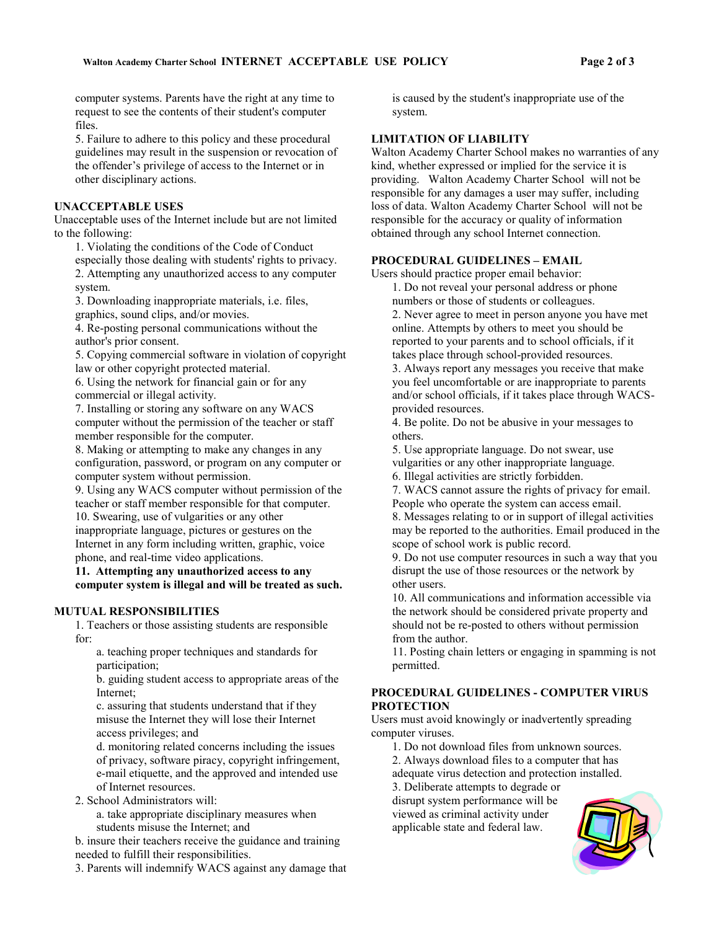computer systems. Parents have the right at any time to request to see the contents of their student's computer files.

5. Failure to adhere to this policy and these procedural guidelines may result in the suspension or revocation of the offender's privilege of access to the Internet or in other disciplinary actions.

### **UNACCEPTABLE USES**

Unacceptable uses of the Internet include but are not limited to the following:

1. Violating the conditions of the Code of Conduct especially those dealing with students' rights to privacy. 2. Attempting any unauthorized access to any computer system.

3. Downloading inappropriate materials, i.e. files, graphics, sound clips, and/or movies.

4. Re-posting personal communications without the author's prior consent.

5. Copying commercial software in violation of copyright law or other copyright protected material.

6. Using the network for financial gain or for any commercial or illegal activity.

7. Installing or storing any software on any WACS computer without the permission of the teacher or staff member responsible for the computer.

8. Making or attempting to make any changes in any configuration, password, or program on any computer or computer system without permission.

9. Using any WACS computer without permission of the teacher or staff member responsible for that computer. 10. Swearing, use of vulgarities or any other inappropriate language, pictures or gestures on the Internet in any form including written, graphic, voice phone, and real-time video applications.

**11. Attempting any unauthorized access to any computer system is illegal and will be treated as such.**

#### **MUTUAL RESPONSIBILITIES**

1. Teachers or those assisting students are responsible for:

a. teaching proper techniques and standards for participation;

b. guiding student access to appropriate areas of the Internet;

c. assuring that students understand that if they misuse the Internet they will lose their Internet access privileges; and

d. monitoring related concerns including the issues of privacy, software piracy, copyright infringement, e-mail etiquette, and the approved and intended use of Internet resources.

2. School Administrators will:

a. take appropriate disciplinary measures when students misuse the Internet; and

b. insure their teachers receive the guidance and training needed to fulfill their responsibilities.

3. Parents will indemnify WACS against any damage that

is caused by the student's inappropriate use of the system.

# **LIMITATION OF LIABILITY**

Walton Academy Charter School makes no warranties of any kind, whether expressed or implied for the service it is providing. Walton Academy Charter School will not be responsible for any damages a user may suffer, including loss of data. Walton Academy Charter School will not be responsible for the accuracy or quality of information obtained through any school Internet connection.

#### **PROCEDURAL GUIDELINES – EMAIL**

Users should practice proper email behavior:

1. Do not reveal your personal address or phone numbers or those of students or colleagues.

2. Never agree to meet in person anyone you have met online. Attempts by others to meet you should be reported to your parents and to school officials, if it takes place through school-provided resources.

3. Always report any messages you receive that make you feel uncomfortable or are inappropriate to parents and/or school officials, if it takes place through WACSprovided resources.

4. Be polite. Do not be abusive in your messages to others.

5. Use appropriate language. Do not swear, use vulgarities or any other inappropriate language.

6. Illegal activities are strictly forbidden.

7. WACS cannot assure the rights of privacy for email. People who operate the system can access email.

8. Messages relating to or in support of illegal activities may be reported to the authorities. Email produced in the scope of school work is public record.

9. Do not use computer resources in such a way that you disrupt the use of those resources or the network by other users.

10. All communications and information accessible via the network should be considered private property and should not be re-posted to others without permission from the author.

11. Posting chain letters or engaging in spamming is not permitted.

## **PROCEDURAL GUIDELINES - COMPUTER VIRUS PROTECTION**

Users must avoid knowingly or inadvertently spreading computer viruses.

1. Do not download files from unknown sources.

2. Always download files to a computer that has

adequate virus detection and protection installed.

3. Deliberate attempts to degrade or

disrupt system performance will be viewed as criminal activity under applicable state and federal law.